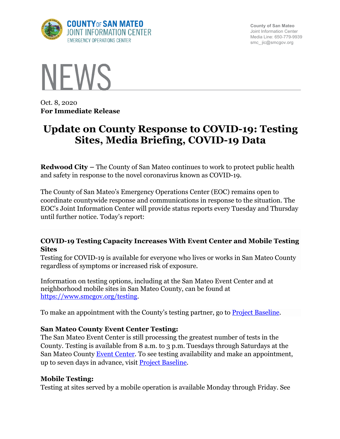

**County of San Mateo** Joint Information Center Media Line: 650-779-9939 smc\_ jic@smcgov.org



Oct. 8, 2020 **For Immediate Release**

# **Update on County Response to COVID-19: Testing Sites, Media Briefing, COVID-19 Data**

**Redwood City –** The County of San Mateo continues to work to protect public health and safety in response to the novel coronavirus known as COVID-19.

The County of San Mateo's Emergency Operations Center (EOC) remains open to coordinate countywide response and communications in response to the situation. The EOC's Joint Information Center will provide status reports every Tuesday and Thursday until further notice. Today's report:

## **COVID-19 Testing Capacity Increases With Event Center and Mobile Testing Sites**

Testing for COVID-19 is available for everyone who lives or works in San Mateo County regardless of symptoms or increased risk of exposure.

Information on testing options, including at the San Mateo Event Center and at neighborhood mobile sites in San Mateo County, can be found at https://www.smcgov.org/testing.

To make an appointment with the County's testing partner, go to **Project Baseline.** 

## **San Mateo County Event Center Testing:**

The San Mateo Event Center is still processing the greatest number of tests in the County. Testing is available from 8 a.m. to 3 p.m. Tuesdays through Saturdays at the San Mateo County Event Center. To see testing availability and make an appointment, up to seven days in advance, visit **Project Baseline**.

## **Mobile Testing:**

Testing at sites served by a mobile operation is available Monday through Friday. See